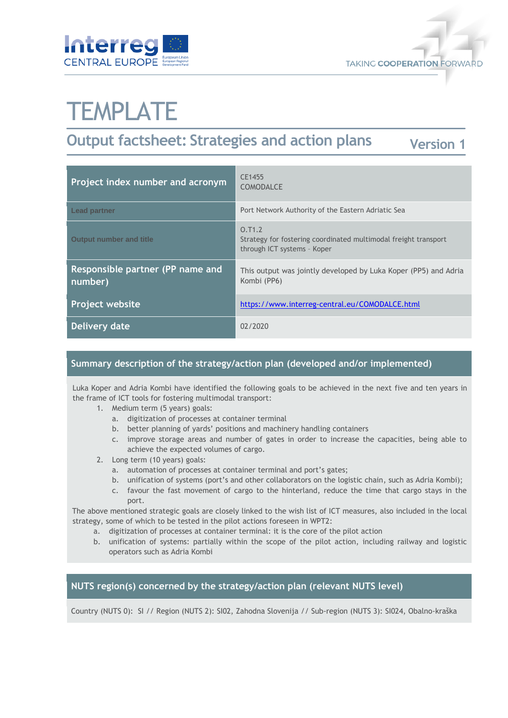



# **TEMPLATE**

#### **Output factsheet: Strategies and action plans Version 1**

| Project index number and acronym            | CE1455<br><b>COMODALCE</b>                                                                               |
|---------------------------------------------|----------------------------------------------------------------------------------------------------------|
| <b>Lead partner</b>                         | Port Network Authority of the Eastern Adriatic Sea                                                       |
| <b>Output number and title</b>              | 0.71.2<br>Strategy for fostering coordinated multimodal freight transport<br>through ICT systems - Koper |
| Responsible partner (PP name and<br>number) | This output was jointly developed by Luka Koper (PP5) and Adria<br>Kombi (PP6)                           |
| Project website                             | https://www.interreg-central.eu/COMODALCE.html                                                           |
| Delivery date                               | 02/2020                                                                                                  |

# **Summary description of the strategy/action plan (developed and/or implemented)**

Luka Koper and Adria Kombi have identified the following goals to be achieved in the next five and ten years in the frame of ICT tools for fostering multimodal transport:

- 1. Medium term (5 years) goals:
	- a. digitization of processes at container terminal
	- b. better planning of yards' positions and machinery handling containers
	- c. improve storage areas and number of gates in order to increase the capacities, being able to achieve the expected volumes of cargo.
- 2. Long term (10 years) goals:
	- a. automation of processes at container terminal and port's gates;
	- b. unification of systems (port's and other collaborators on the logistic chain, such as Adria Kombi);
	- c. favour the fast movement of cargo to the hinterland, reduce the time that cargo stays in the port.

The above mentioned strategic goals are closely linked to the wish list of ICT measures, also included in the local strategy, some of which to be tested in the pilot actions foreseen in WPT2:

- a. digitization of processes at container terminal: it is the core of the pilot action
- b. unification of systems: partially within the scope of the pilot action, including railway and logistic operators such as Adria Kombi

# **NUTS region(s) concerned by the strategy/action plan (relevant NUTS level)**

Country (NUTS 0): SI // Region (NUTS 2): SI02, Zahodna Slovenija // Sub-region (NUTS 3): SI024, Obalno-kraška